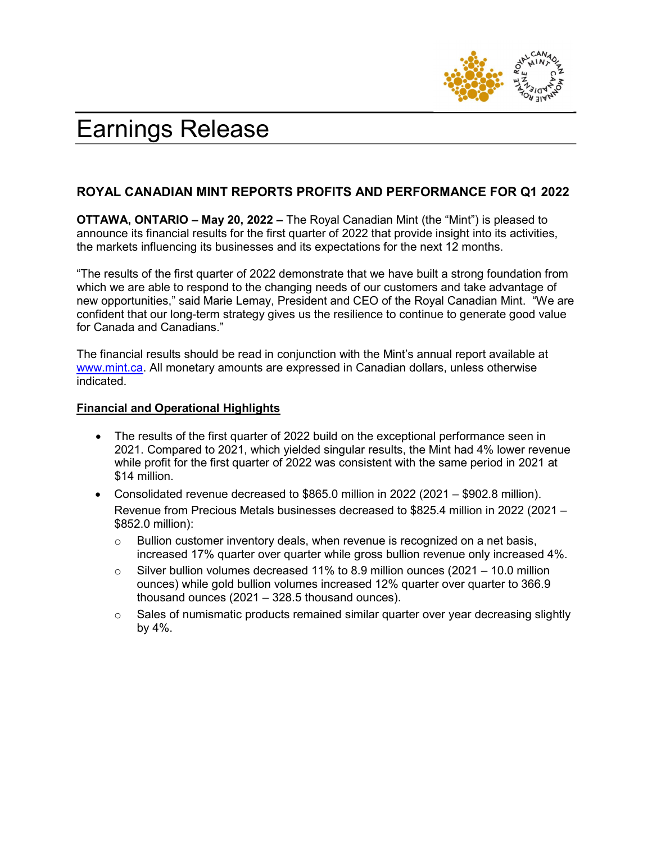

# Earnings Release

# ROYAL CANADIAN MINT REPORTS PROFITS AND PERFORMANCE FOR Q1 2022

OTTAWA, ONTARIO – May 20, 2022 – The Royal Canadian Mint (the "Mint") is pleased to announce its financial results for the first quarter of 2022 that provide insight into its activities, the markets influencing its businesses and its expectations for the next 12 months.

"The results of the first quarter of 2022 demonstrate that we have built a strong foundation from which we are able to respond to the changing needs of our customers and take advantage of new opportunities," said Marie Lemay, President and CEO of the Royal Canadian Mint. "We are confident that our long-term strategy gives us the resilience to continue to generate good value for Canada and Canadians."

The financial results should be read in conjunction with the Mint's annual report available at www.mint.ca. All monetary amounts are expressed in Canadian dollars, unless otherwise indicated.

## Financial and Operational Highlights

- The results of the first quarter of 2022 build on the exceptional performance seen in 2021. Compared to 2021, which yielded singular results, the Mint had 4% lower revenue while profit for the first quarter of 2022 was consistent with the same period in 2021 at \$14 million.
- Consolidated revenue decreased to \$865.0 million in 2022 (2021 \$902.8 million). Revenue from Precious Metals businesses decreased to \$825.4 million in 2022 (2021 – \$852.0 million):
	- $\circ$  Bullion customer inventory deals, when revenue is recognized on a net basis, increased 17% quarter over quarter while gross bullion revenue only increased 4%.
	- $\circ$  Silver bullion volumes decreased 11% to 8.9 million ounces (2021 10.0 million ounces) while gold bullion volumes increased 12% quarter over quarter to 366.9 thousand ounces (2021 – 328.5 thousand ounces).
	- $\circ$  Sales of numismatic products remained similar quarter over year decreasing slightly by 4%.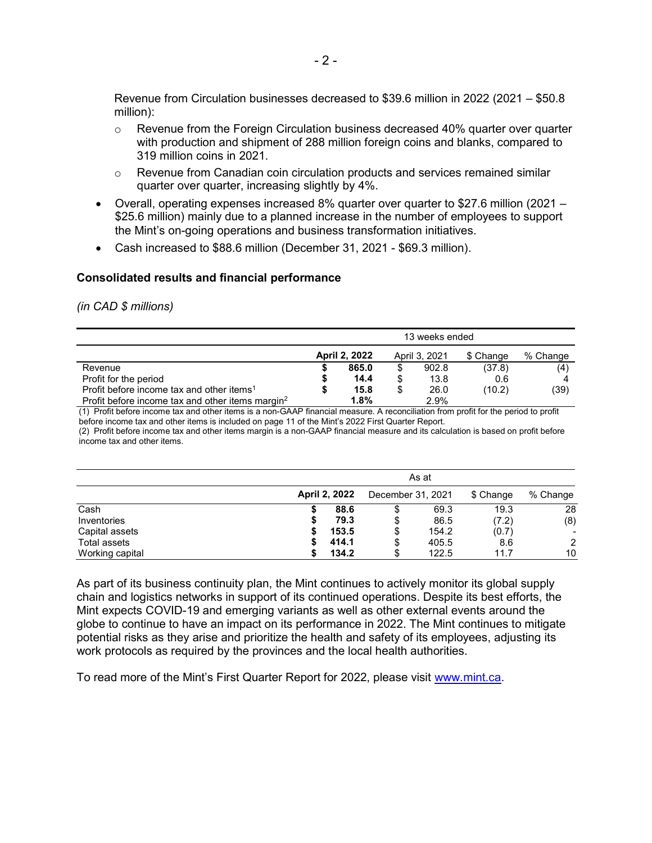Revenue from Circulation businesses decreased to \$39.6 million in 2022 (2021 – \$50.8 million):

- $\circ$  Revenue from the Foreign Circulation business decreased 40% quarter over quarter with production and shipment of 288 million foreign coins and blanks, compared to 319 million coins in 2021.
- $\circ$  Revenue from Canadian coin circulation products and services remained similar quarter over quarter, increasing slightly by 4%.
- Overall, operating expenses increased 8% quarter over quarter to \$27.6 million (2021 \$25.6 million) mainly due to a planned increase in the number of employees to support the Mint's on-going operations and business transformation initiatives.
- Cash increased to \$88.6 million (December 31, 2021 \$69.3 million).

## Consolidated results and financial performance

#### (in CAD \$ millions)

|                                                              | 13 weeks ended |         |               |       |           |          |  |  |  |
|--------------------------------------------------------------|----------------|---------|---------------|-------|-----------|----------|--|--|--|
|                                                              | April 2, 2022  |         | April 3, 2021 |       | \$ Change | % Change |  |  |  |
| Revenue                                                      |                | 865.0   | \$            | 902.8 | (37.8)    | (4)      |  |  |  |
| Profit for the period                                        |                | 14.4    | \$            | 13.8  | 0.6       |          |  |  |  |
| Profit before income tax and other items <sup>1</sup>        |                | 15.8    | \$            | 26.0  | (10.2)    | (39)     |  |  |  |
| Profit before income tax and other items margin <sup>2</sup> |                | $1.8\%$ |               | 2.9%  |           |          |  |  |  |

(1) Profit before income tax and other items is a non-GAAP financial measure. A reconciliation from profit for the period to profit before income tax and other items is included on page 11 of the Mint's 2022 First Quarter Report.

(2) Profit before income tax and other items margin is a non-GAAP financial measure and its calculation is based on profit before income tax and other items.

|                 | As at                |                   |       |           |                          |  |  |  |
|-----------------|----------------------|-------------------|-------|-----------|--------------------------|--|--|--|
|                 | <b>April 2, 2022</b> | December 31, 2021 |       | \$ Change | % Change                 |  |  |  |
| Cash            | 88.6                 | S                 | 69.3  | 19.3      | 28                       |  |  |  |
| Inventories     | 79.3                 | \$                | 86.5  | (7.2)     | (8)                      |  |  |  |
| Capital assets  | 153.5                | \$                | 154.2 | (0.7)     | $\overline{\phantom{a}}$ |  |  |  |
| Total assets    | 414.1                | \$                | 405.5 | 8.6       | 2                        |  |  |  |
| Working capital | 134.2                | \$                | 122.5 | 11.7      | 10                       |  |  |  |

As part of its business continuity plan, the Mint continues to actively monitor its global supply chain and logistics networks in support of its continued operations. Despite its best efforts, the Mint expects COVID-19 and emerging variants as well as other external events around the globe to continue to have an impact on its performance in 2022. The Mint continues to mitigate potential risks as they arise and prioritize the health and safety of its employees, adjusting its work protocols as required by the provinces and the local health authorities.

To read more of the Mint's First Quarter Report for 2022, please visit www.mint.ca.